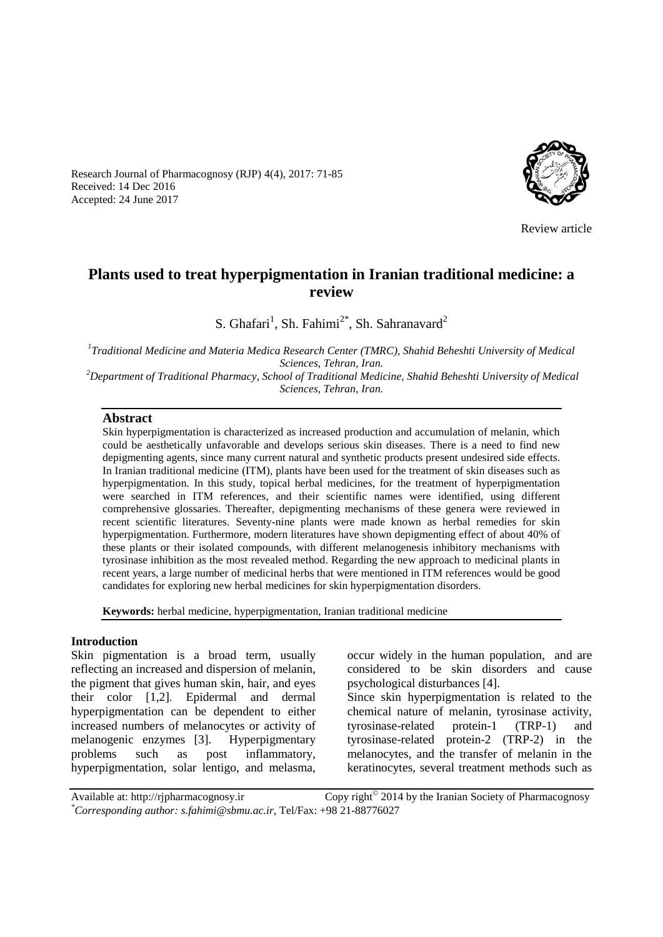

Review article

# **Plants used to treat hyperpigmentation in Iranian traditional medicine: a review**

S. Ghafari<sup>1</sup>, Sh. Fahimi<sup>2\*</sup>, Sh. Sahranavard<sup>2</sup>

*1 Traditional Medicine and Materia Medica Research Center (TMRC), Shahid Beheshti University of Medical Sciences, Tehran, Iran. <sup>2</sup>Department of Traditional Pharmacy, School of Traditional Medicine, Shahid Beheshti University of Medical Sciences, Tehran, Iran.*

#### **Abstract**

Received: 14 Dec 2016 Accepted: 24 June 2017

> Skin hyperpigmentation is characterized as increased production and accumulation of melanin, which could be aesthetically unfavorable and develops serious skin diseases. There is a need to find new depigmenting agents, since many current natural and synthetic products present undesired side effects. In Iranian traditional medicine (ITM), plants have been used for the treatment of skin diseases such as hyperpigmentation. In this study, topical herbal medicines, for the treatment of hyperpigmentation were searched in ITM references, and their scientific names were identified, using different comprehensive glossaries. Thereafter, depigmenting mechanisms of these genera were reviewed in recent scientific literatures. Seventy-nine plants were made known as herbal remedies for skin hyperpigmentation. Furthermore, modern literatures have shown depigmenting effect of about 40% of these plants or their isolated compounds, with different melanogenesis inhibitory mechanisms with tyrosinase inhibition as the most revealed method. Regarding the new approach to medicinal plants in recent years, a large number of medicinal herbs that were mentioned in ITM references would be good candidates for exploring new herbal medicines for skin hyperpigmentation disorders.

**Keywords:** herbal medicine, hyperpigmentation, Iranian traditional medicine

#### **Introduction**

Skin pigmentation is a broad term, usually reflecting an increased and dispersion of melanin, the pigment that gives human skin, hair, and eyes their color [1,2]. Epidermal and dermal hyperpigmentation can be dependent to either increased numbers of melanocytes or activity of melanogenic enzymes [3]. Hyperpigmentary problems such as post inflammatory, hyperpigmentation, solar lentigo, and melasma,

Research Journal of Pharmacognosy (RJP) 4(4), 2017: 71-85

occur widely in the human population, and are considered to be skin disorders and cause psychological disturbances [4].

Since skin hyperpigmentation is related to the chemical nature of melanin, tyrosinase activity, tyrosinase-related protein-1 (TRP-1) and tyrosinase-related protein-2 (TRP-2) in the melanocytes, and the transfer of melanin in the keratinocytes, several treatment methods such as

Available at: http://rjpharmacognosy.ir Copy right<sup>®</sup> 2014 by the Iranian Society of Pharmacognosy *\*Corresponding author: s.fahimi@sbmu.ac.ir,* Tel/Fax: +98 21-88776027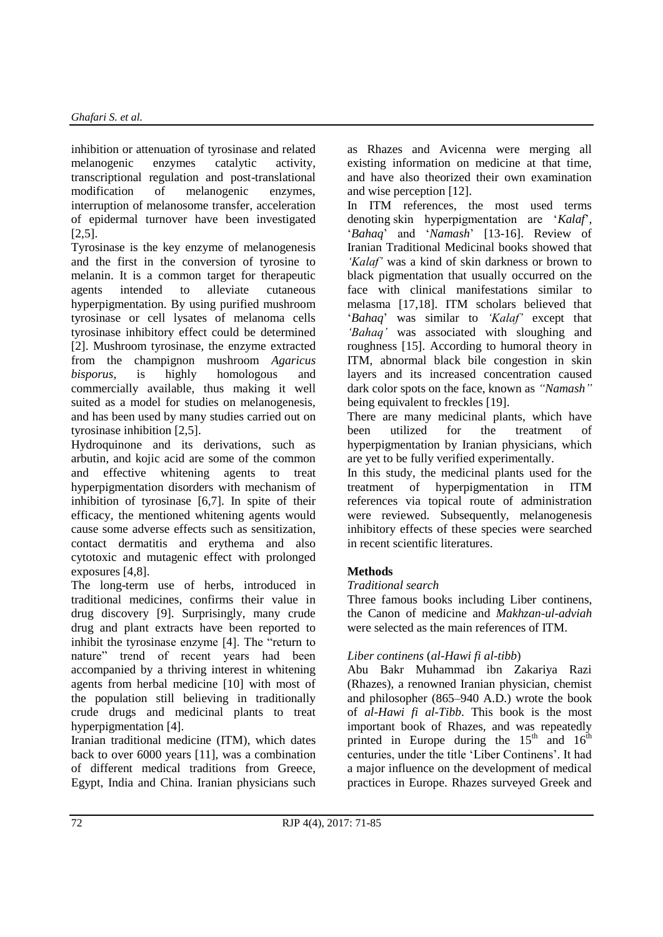inhibition or attenuation of tyrosinase and related melanogenic enzymes catalytic activity, transcriptional regulation and post-translational modification of melanogenic enzymes, interruption of melanosome transfer, acceleration of epidermal turnover have been investigated [2,5].

Tyrosinase is the key enzyme of melanogenesis and the first in the conversion of tyrosine to melanin. It is a common target for therapeutic agents intended to alleviate cutaneous hyperpigmentation. By using purified mushroom tyrosinase or cell lysates of melanoma cells tyrosinase inhibitory effect could be determined [2]. Mushroom tyrosinase, the enzyme extracted from the champignon mushroom *Agaricus bisporus,* is highly homologous and commercially available, thus making it well suited as a model for studies on melanogenesis, and has been used by many studies carried out on tyrosinase inhibition [2,5].

Hydroquinone and its derivations, such as arbutin, and kojic acid are some of the common and effective whitening agents to treat hyperpigmentation disorders with mechanism of inhibition of tyrosinase [6,7]. In spite of their efficacy, the mentioned whitening agents would cause some adverse effects such as sensitization, contact dermatitis and erythema and also cytotoxic and mutagenic effect with prolonged exposures [4,8].

The long-term use of herbs, introduced in traditional medicines, confirms their value in drug discovery [9]. Surprisingly, many crude drug and plant extracts have been reported to inhibit the tyrosinase enzyme [4]. The "return to nature" trend of recent years had been accompanied by a thriving interest in whitening agents from herbal medicine [10] with most of the population still believing in traditionally crude drugs and medicinal plants to treat hyperpigmentation [4].

Iranian traditional medicine (ITM), which dates back to over 6000 years [11], was a combination of different medical traditions from Greece, Egypt, India and China. Iranian physicians such as Rhazes and Avicenna were merging all existing information on medicine at that time, and have also theorized their own examination and wise perception [12].

In ITM references, the most used terms denoting skin hyperpigmentation are '*Kalaf*', '*Bahaq*' and '*Namash*' [13-16]. Review of Iranian Traditional Medicinal books showed that *'Kalaf'* was a kind of skin darkness or brown to black pigmentation that usually occurred on the face with clinical manifestations similar to melasma [17,18]. ITM scholars believed that '*Bahaq*' was similar to *'Kalaf'* except that *'Bahaq'* was associated with sloughing and roughness [15]. According to humoral theory in ITM, abnormal black bile congestion in skin layers and its increased concentration caused dark color spots on the face, known as *"Namash"* being equivalent to freckles [19].

There are many medicinal plants, which have been utilized for the treatment of hyperpigmentation by Iranian physicians, which are yet to be fully verified experimentally.

In this study, the medicinal plants used for the treatment of hyperpigmentation in ITM references via topical route of administration were reviewed. Subsequently, melanogenesis inhibitory effects of these species were searched in recent scientific literatures.

### **Methods**

### *Traditional search*

Three famous books including Liber continens, the Canon of medicine and *Makhzan-ul-adviah*  were selected as the main references of ITM.

### *Liber continens* (*al-Hawi fi al-tibb*)

Abu Bakr Muhammad ibn Zakariya Razi (Rhazes), a renowned Iranian physician, chemist and philosopher (865–940 A.D.) wrote the book of *al-Hawi fi al-Tibb*. This book is the most important book of Rhazes, and was repeatedly printed in Europe during the  $15<sup>th</sup>$  and  $16<sup>th</sup>$ centuries, under the title 'Liber Continens'. It had a major influence on the development of medical practices in Europe. Rhazes surveyed Greek and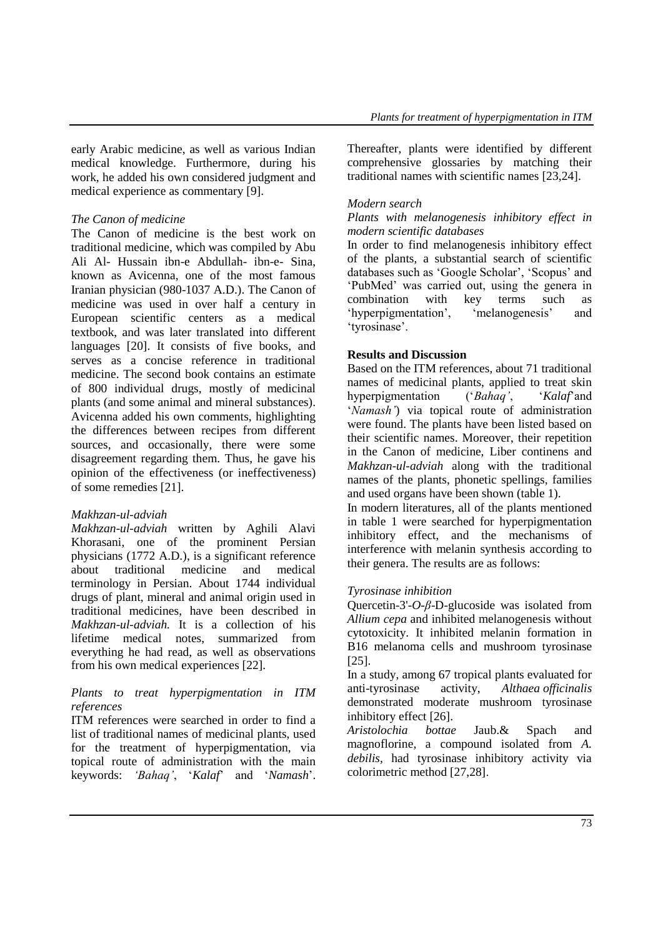early Arabic medicine, as well as various Indian medical knowledge. Furthermore, during his work, he added his own considered judgment and medical experience as commentary [9].

#### *The Canon of medicine*

The Canon of medicine is the best work on traditional medicine, which was compiled by Abu Ali Al- Hussain ibn-e Abdullah- ibn-e- Sina, known as Avicenna, one of the most famous Iranian physician (980-1037 A.D.). The Canon of medicine was used in over half a century in European scientific centers as a medical textbook, and was later translated into different languages [20]. It consists of five books, and serves as a concise reference in traditional medicine. The second book contains an estimate of 800 individual drugs, mostly of medicinal plants (and some animal and mineral substances). Avicenna added his own comments, highlighting the differences between recipes from different sources, and occasionally, there were some disagreement regarding them. Thus, he gave his opinion of the effectiveness (or ineffectiveness) of some remedies [21].

### *Makhzan-ul-adviah*

*Makhzan-ul-adviah* written by Aghili Alavi Khorasani, one of the prominent Persian physicians (1772 A.D.), is a significant reference<br>about traditional medicine and medical about traditional medicine and medical terminology in Persian. About 1744 individual drugs of plant, mineral and animal origin used in traditional medicines, have been described in *Makhzan-ul-adviah.* It is a collection of his lifetime medical notes, summarized from everything he had read, as well as observations from his own medical experiences [22].

#### *Plants to treat hyperpigmentation in ITM references*

ITM references were searched in order to find a list of traditional names of medicinal plants, used for the treatment of hyperpigmentation, via topical route of administration with the main keywords: *'Bahaq'*, '*Kalaf*' and '*Namash*'. Thereafter, plants were identified by different comprehensive glossaries by matching their traditional names with scientific names [23,24].

### *Modern search*

#### *Plants with melanogenesis inhibitory effect in modern scientific databases*

In order to find melanogenesis inhibitory effect of the plants, a substantial search of scientific databases such as 'Google Scholar', 'Scopus' and 'PubMed' was carried out, using the genera in combination with key terms such as 'hyperpigmentation', 'melanogenesis' and 'tyrosinase'.

### **Results and Discussion**

Based on the ITM references, about 71 traditional names of medicinal plants, applied to treat skin hyperpigmentation ('*Bahaq'*, '*Kalaf*'and '*Namash'*) via topical route of administration were found. The plants have been listed based on their scientific names. Moreover, their repetition in the Canon of medicine, Liber continens and *Makhzan-ul-adviah* along with the traditional names of the plants, phonetic spellings, families and used organs have been shown (table 1).

In modern literatures, all of the plants mentioned in table 1 were searched for hyperpigmentation inhibitory effect, and the mechanisms of interference with melanin synthesis according to their genera. The results are as follows:

### *Tyrosinase inhibition*

Quercetin-3'-*O-β*-D-glucoside was isolated from *Allium cepa* and inhibited melanogenesis without cytotoxicity. It inhibited melanin formation in B16 melanoma cells and mushroom tyrosinase [25].

In a study, among 67 tropical plants evaluated for anti-tyrosinase activity, *Althaea officinalis* demonstrated moderate mushroom tyrosinase inhibitory effect [26].

*Aristolochia bottae* Jaub.& Spach and magnoflorine, a compound isolated from *A. debilis,* had tyrosinase inhibitory activity via colorimetric method [27,28].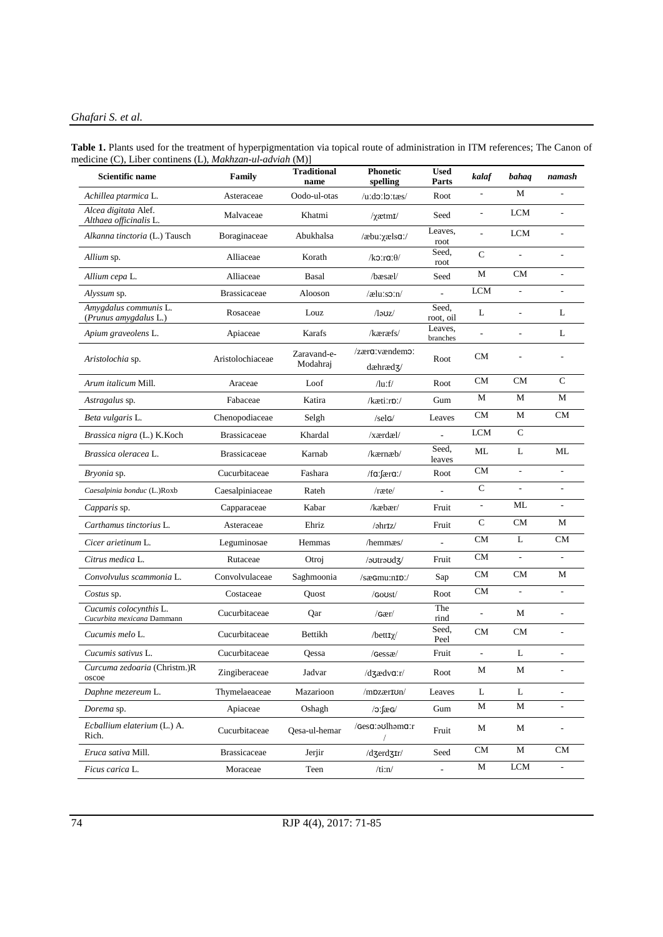#### *Ghafari S. et al.*

| Table 1. Plants used for the treatment of hyperpigmentation via topical route of administration in ITM references; The Canon of |  |
|---------------------------------------------------------------------------------------------------------------------------------|--|
| medicine (C), Liber continens (L), <i>Makhzan-ul-adviah</i> (M)]                                                                |  |

| <b>Scientific name</b>                               | Family              | <b>Traditional</b><br>name | <b>Phonetic</b><br>spelling | <b>Used</b><br>Parts | kalaf        | bahaq                    | namash                       |
|------------------------------------------------------|---------------------|----------------------------|-----------------------------|----------------------|--------------|--------------------------|------------------------------|
| Achillea ptarmica L.                                 | Asteraceae          | Oodo-ul-otas               | $/$ u:do:lo:tæs/            | Root                 | L,           | M                        |                              |
| Alcea digitata Alef.<br>Althaea officinalis L.       | Malvaceae           | Khatmi                     | $\gamma$ ætm $\mathbf{I}$   | Seed                 | L,           | <b>LCM</b>               |                              |
| Alkanna tinctoria (L.) Tausch                        | Boraginaceae        | Abukhalsa                  | /æbuːxælsɑː/                | Leaves,<br>root      | L.           | <b>LCM</b>               | J.                           |
| Allium sp.                                           | Alliaceae           | Korath                     | /ko:ra: $\theta$ /          | Seed,<br>root        | $\mathbf C$  | $\overline{a}$           | ÷,                           |
| Allium cepa L.                                       | Alliaceae           | Basal                      | $\beta$ bæsæl $\beta$       | Seed                 | М            | <b>CM</b>                | $\qquad \qquad \blacksquare$ |
| Alyssum sp.                                          | <b>Brassicaceae</b> | Alooson                    | /æluːsɔːn/                  |                      | <b>LCM</b>   | $\overline{a}$           | ÷,                           |
| Amygdalus communis L.<br>(Prunus amygdalus L.)       | Rosaceae            | Louz                       | /ləʊz/                      | Seed,<br>root, oil   | L            | $\overline{a}$           | L                            |
| Apium graveolens L.                                  | Apiaceae            | Karafs                     | /kæræfs/                    | Leaves,<br>branches  | L.           | $\overline{a}$           | L                            |
| Aristolochia sp.                                     | Aristolochiaceae    | Zaravand-e-<br>Modahraj    | /zæra:vændemo:<br>dæhræd3/  | Root                 | <b>CM</b>    |                          |                              |
| Arum italicum Mill.                                  | Araceae             | Loof                       | $\frac{du}{dt}$             | Root                 | <b>CM</b>    | <b>CM</b>                | $\mathsf{C}$                 |
| Astragalus sp.                                       | Fabaceae            | Katira                     | /kæti:rp:/                  | Gum                  | M            | M                        | M                            |
| Beta vulgaris L.                                     | Chenopodiaceae      | Selgh                      | /selG/                      | Leaves               | CM           | M                        | <b>CM</b>                    |
| Brassica nigra (L.) K.Koch                           | <b>Brassicaceae</b> | Khardal                    | /xærdæl/                    |                      | <b>LCM</b>   | $\mathsf{C}$             |                              |
| Brassica oleracea L.                                 | <b>Brassicaceae</b> | Karnab                     | /kærnæb/                    | Seed,<br>leaves      | ML           | L                        | ML                           |
| Bryonia sp.                                          | Cucurbitaceae       | Fashara                    | /fa: $f$ æra:/              | Root                 | <b>CM</b>    | $\overline{\phantom{a}}$ | $\overline{a}$               |
| Caesalpinia bonduc (L.)Roxb                          | Caesalpiniaceae     | Rateh                      | /ræte/                      |                      | $\mathsf{C}$ | $\overline{\phantom{a}}$ | ÷,                           |
| Capparis sp.                                         | Capparaceae         | Kabar                      | /kæbær/                     | Fruit                |              | ML                       |                              |
| Carthamus tinctorius L.                              | Asteraceae          | Ehriz                      | /əhr1z/                     | Fruit                | C            | <b>CM</b>                | М                            |
| Cicer arietinum L.                                   | Leguminosae         | Hemmas                     | /hemmæs/                    |                      | <b>CM</b>    | L                        | CM                           |
| Citrus medica L.                                     | Rutaceae            | Otroj                      | /əʊtrəʊdʒ/                  | Fruit                | <b>CM</b>    | $\overline{a}$           | $\overline{a}$               |
| Convolvulus scammonia L.                             | Convolvulaceae      | Saghmoonia                 | /sæGmu:nID:/                | Sap                  | <b>CM</b>    | <b>CM</b>                | М                            |
| Costus sp.                                           | Costaceae           | Quost                      | /Goost/                     | Root                 | <b>CM</b>    | $\overline{a}$           | ÷,                           |
| Cucumis colocynthis L.<br>Cucurbita mexicana Dammann | Cucurbitaceae       | Qar                        | /6ar/                       | The<br>rind          | L,           | M                        | J.                           |
| Cucumis melo L.                                      | Cucurbitaceae       | Bettikh                    | /bett $\mathbf{I}\chi$ /    | Seed,<br>Peel        | <b>CM</b>    | <b>CM</b>                | ÷,                           |
| Cucumis sativus L.                                   | Cucurbitaceae       | Qessa                      | /Gessæ/                     | Fruit                | L,           | L                        | L,                           |
| Curcuma zedoaria (Christm.)R<br>oscoe                | Zingiberaceae       | Jadvar                     | /dʒædvɑːr/                  | Root                 | M            | M                        |                              |
| Daphne mezereum L.                                   | Thymelaeaceae       | Mazarioon                  | /mpzærIon/                  | Leaves               | L            | L                        |                              |
| Dorema sp.                                           | Apiaceae            | Oshagh                     | $\sqrt{2}$ : $\int$         | Gum                  | M            | $\mathbf M$              | $\overline{a}$               |
| Ecballium elaterium (L.) A.<br>Rich.                 | Cucurbitaceae       | Qesa-ul-hemar              | /Gesa:aulhama:r             | Fruit                | M            | М                        |                              |
| Eruca sativa Mill.                                   | <b>Brassicaceae</b> | Jerjir                     | /dʒerdʒɪr/                  | Seed                 | CM           | $\mathbf M$              | CM                           |
| Ficus carica L.                                      | Moraceae            | Teen                       | /ti:n/                      | ÷,                   | $\mathbf M$  | LCM                      |                              |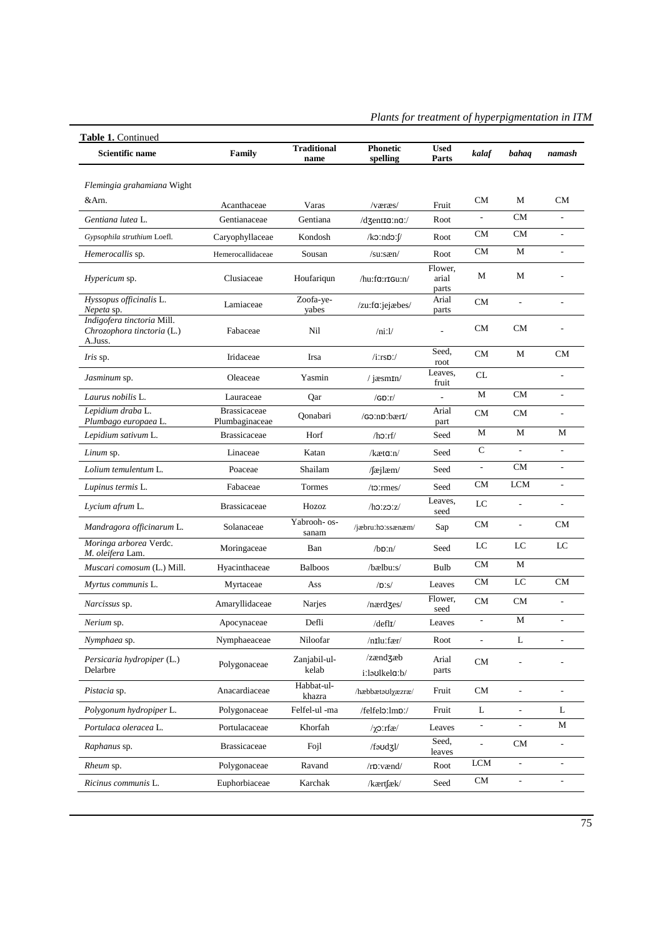| Table 1. Continued<br><b>Scientific name</b>                        | Family                                | <b>Traditional</b><br>name | <b>Phonetic</b><br>spelling  | <b>Used</b><br>Parts      | kalaf                    | bahaq                    | namash                   |
|---------------------------------------------------------------------|---------------------------------------|----------------------------|------------------------------|---------------------------|--------------------------|--------------------------|--------------------------|
| Flemingia grahamiana Wight                                          |                                       |                            |                              |                           |                          |                          |                          |
| &Arn.                                                               | Acanthaceae                           | Varas                      | /væræs/                      | Fruit                     | <b>CM</b>                | М                        | CM                       |
| Gentiana lutea L.                                                   | Gentianaceae                          | Gentiana                   | /dʒentɪɑːnɑː/                | Root                      | $\frac{1}{2}$            | <b>CM</b>                | $\overline{\phantom{a}}$ |
| Gypsophila struthium Loefl.                                         | Caryophyllaceae                       | Kondosh                    | $/k$ c $ind$ c $\mathcal{V}$ | Root                      | <b>CM</b>                | CM                       | ÷,                       |
| Hemerocallis sp.                                                    | Hemerocallidaceae                     | Sousan                     | $/su:$ sæn $/$               | Root                      | <b>CM</b>                | M                        | $\overline{\phantom{a}}$ |
| Hypericum sp.                                                       | Clusiaceae                            | Houfariqun                 | /hu:fa:rIGu:n/               | Flower,<br>arial<br>parts | М                        | M                        |                          |
| Hyssopus officinalis L.<br>Nepeta sp.                               | Lamiaceae                             | Zoofa-ye-<br>yabes         | /zu:fa:jejæbes/              | Arial<br>parts            | <b>CM</b>                | $\overline{a}$           |                          |
| Indigofera tinctoria Mill.<br>Chrozophora tinctoria (L.)<br>A.Juss. | Fabaceae                              | Nil                        | /ni:1/                       |                           | <b>CM</b>                | <b>CM</b>                |                          |
| Iris sp.                                                            | Iridaceae                             | Irsa                       | $/$ i:rs $p$ :/              | Seed.<br>root             | CM                       | M                        | <b>CM</b>                |
| Jasminum sp.                                                        | Oleaceae                              | Yasmin                     | / $jæsmIn/$                  | Leaves,<br>fruit          | CL                       |                          |                          |
| Laurus nobilis L.                                                   | Lauraceae                             | Qar                        | $/GD$ :r/                    |                           | M                        | <b>CM</b>                | ÷,                       |
| Lepidium draba L.<br>Plumbago europaea L.                           | <b>Brassicaceae</b><br>Plumbaginaceae | Qonabari                   | /GOInDibærI/                 | Arial<br>part             | <b>CM</b>                | <b>CM</b>                |                          |
| Lepidium sativum L.                                                 | <b>Brassicaceae</b>                   | Horf                       | /ho:rf/                      | Seed                      | М                        | М                        | M                        |
| Linum sp.                                                           | Linaceae                              | Katan                      | $/$ kæt <b>a</b> :n $/$      | Seed                      | $\mathsf{C}$             | $\overline{a}$           |                          |
| Lolium temulentum L.                                                | Poaceae                               | Shailam                    | $/$ [æjlæm $/$               | Seed                      | ÷,                       | <b>CM</b>                |                          |
| Lupinus termis L.                                                   | Fabaceae                              | Tormes                     | $/t5:$ rmes/                 | Seed                      | <b>CM</b>                | <b>LCM</b>               | $\overline{\phantom{a}}$ |
| Lycium afrum L.                                                     | <b>Brassicaceae</b>                   | Hozoz                      | /ho:zo:z/                    | Leaves,<br>seed           | LC                       | $\overline{a}$           |                          |
| Mandragora officinarum L.                                           | Solanaceae                            | Yabrooh- os-<br>sanam      | /jæbruːhoːssænæm/            | Sap                       | <b>CM</b>                | $\blacksquare$           | <b>CM</b>                |
| Moringa arborea Verdc.<br>M. oleifera Lam.                          | Moringaceae                           | Ban                        | $/b$ p:n $/$                 | Seed                      | LC                       | LC                       | $_{\rm LC}$              |
| Muscari comosum (L.) Mill.                                          | Hyacinthaceae                         | <b>Balboos</b>             | /bælbu:s/                    | Bulb                      | <b>CM</b>                | M                        |                          |
| Myrtus communis L.                                                  | Myrtaceae                             | Ass                        | $\sqrt{D}$ :s/               | Leaves                    | <b>CM</b>                | LC                       | <b>CM</b>                |
| Narcissus sp.                                                       | Amaryllidaceae                        | Narjes                     | $/$ nærd $\leq$ es $/$       | Flower.<br>seed           | <b>CM</b>                | <b>CM</b>                | L,                       |
| Nerium sp.                                                          | Apocynaceae                           | Defli                      | $/\text{defl}$               | Leaves                    | $\overline{a}$           | M                        |                          |
| Nymphaea sp.                                                        | Nymphaeaceae                          | Niloofar                   | /nɪluːfær/                   | Root                      | $\overline{a}$           | L                        |                          |
| Persicaria hydropiper (L.)<br>Delarbre                              | Polygonaceae                          | Zanjabil-ul-<br>kelab      | /zænd3æb<br>i:laulkela:b/    | Arial<br>parts            | CM                       |                          |                          |
| <i>Pistacia</i> sp.                                                 | Anacardiaceae                         | Habbat-ul-<br>khazra       | /hæbbætaʊlxæzræ/             | Fruit                     | <b>CM</b>                | $\overline{a}$           | ÷,                       |
| Polygonum hydropiper L.                                             | Polygonaceae                          | Felfel-ul -ma              | /felfelo:lmp:/               | Fruit                     | L                        | $\qquad \qquad -$        | L                        |
| Portulaca oleracea L.                                               | Portulacaceae                         | Khorfah                    | $/χ$ 2:rfæ $/$               | Leaves                    | $\overline{\phantom{a}}$ | $\overline{\phantom{a}}$ | М                        |
| Raphanus sp.                                                        | <b>Brassicaceae</b>                   | Fojl                       | /faudʒl/                     | Seed,<br>leaves           | L,                       | CM                       | ÷,                       |
| <i>Rheum</i> sp.                                                    | Polygonaceae                          | Ravand                     | $/r$ p:vænd/                 | Root                      | <b>LCM</b>               |                          |                          |
| Ricinus communis L.                                                 | Euphorbiaceae                         | Karchak                    | /kærtfæk/                    | Seed                      | ${\rm CM}$               | $\overline{a}$           |                          |

*Plants for treatment of hyperpigmentation in ITM*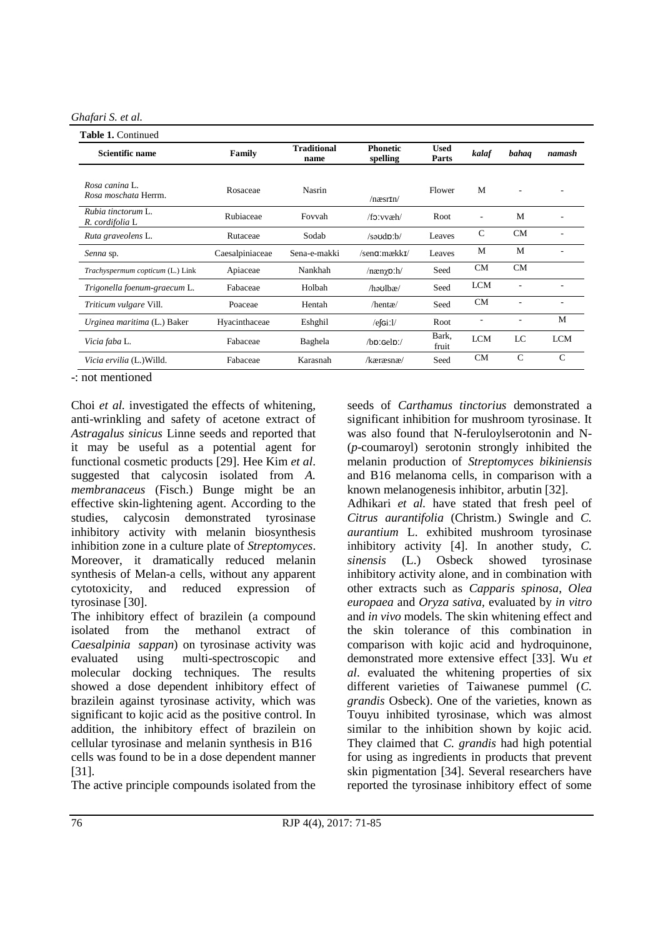*Ghafari S. et al.*

| <b>Scientific name</b>                 | Family          | <b>Traditional</b><br>name | <b>Phonetic</b><br>spelling        | Used<br>Parts  | kalaf        | bahaq         | namash        |
|----------------------------------------|-----------------|----------------------------|------------------------------------|----------------|--------------|---------------|---------------|
| Rosa canina L.<br>Rosa moschata Herrm. | Rosaceae        | Nasrin                     | $/n\text{asrrn}/$                  | Flower         | M            |               |               |
| Rubia tinctorum L.<br>R. cordifolia L  | Rubiaceae       | Fovvah                     | $/f$ : xvæh $/$                    | Root           | ٠            | M             |               |
| Ruta graveolens L.                     | Rutaceae        | Sodab                      | $/s$ a $\upsilon$ d $\upsilon$ :b/ | Leaves         | $\mathsf{C}$ | <b>CM</b>     | ٠             |
| Senna sp.                              | Caesalpiniaceae | Sena-e-makki               | /sen <b>g</b> :mækk <b>r/</b>      | Leaves         | M            | M             |               |
| Trachyspermum copticum (L.) Link       | Apiaceae        | Nankhah                    | $/$ næn $\gamma$ p:h               | Seed           | <b>CM</b>    | CM            |               |
| Trigonella foenum-graecum L.           | Fabaceae        | Holbah                     | $/$ hə $u$ lbæ/                    | Seed           | <b>LCM</b>   | ÷,            |               |
| Triticum vulgare Vill.                 | Poaceae         | Hentah                     | /hentæ/                            | Seed           | <b>CM</b>    |               |               |
| Urginea maritima (L.) Baker            | Hyacinthaceae   | Eshghil                    | $/e$ [Gi: $1/$                     | Root           |              |               | M             |
| Vicia faba L.                          | Fabaceae        | Baghela                    | $/hp:$ Gel $p$ :/                  | Bark,<br>fruit | <b>LCM</b>   | LC            | <b>LCM</b>    |
| Vicia ervilia (L.) Willd.              | Fabaceae        | Karasnah                   | /kæræsnæ/                          | Seed           | <b>CM</b>    | $\mathcal{C}$ | $\mathcal{C}$ |

-: not mentioned

Choi *et al.* investigated the effects of whitening, anti-wrinkling and safety of acetone extract of *Astragalus sinicus* Linne seeds and reported that it may be useful as a potential agent for functional cosmetic products [29]. Hee Kim *et al*. suggested that calycosin isolated from *A. membranaceus* (Fisch.) Bunge might be an effective skin-lightening agent. According to the studies, calycosin demonstrated tyrosinase inhibitory activity with melanin biosynthesis inhibition zone in a culture plate of *Streptomyces*. Moreover, it dramatically reduced melanin synthesis of Melan-a cells, without any apparent cytotoxicity, and reduced expression of tyrosinase [30].

The inhibitory effect of brazilein (a compound isolated from the methanol extract of *Caesalpinia sappan*) on tyrosinase activity was evaluated using multi-spectroscopic and molecular docking techniques. The results showed a dose dependent inhibitory effect of brazilein against tyrosinase activity, which was significant to kojic acid as the positive control. In addition, the inhibitory effect of brazilein on cellular tyrosinase and melanin synthesis in B16 cells was found to be in a dose dependent manner [31].

The active principle compounds isolated from the

seeds of *Carthamus tinctorius* demonstrated a significant inhibition for mushroom tyrosinase. It was also found that N-feruloylserotonin and N- (*p*-coumaroyl) serotonin strongly inhibited the melanin production of *Streptomyces bikiniensis* and B16 melanoma cells, in comparison with a known melanogenesis inhibitor, arbutin [32].

Adhikari *et al.* have stated that fresh peel of *Citrus aurantifolia* (Christm.) Swingle and *C. aurantium* L. exhibited mushroom tyrosinase inhibitory activity [4]. In another study, *C. sinensis* (L.) Osbeck showed tyrosinase inhibitory activity alone, and in combination with other extracts such as *Capparis spinosa*, *Olea europaea* and *Oryza sativa,* evaluated by *in vitro* and *in vivo* models*.* The skin whitening effect and the skin tolerance of this combination in comparison with kojic acid and hydroquinone, demonstrated more extensive effect [33]. Wu *et al*. evaluated the whitening properties of six different varieties of Taiwanese pummel (*C. grandis* Osbeck). One of the varieties, known as Touyu inhibited tyrosinase, which was almost similar to the inhibition shown by kojic acid. They claimed that *C. grandis* had high potential for using as ingredients in products that prevent skin pigmentation [34]. Several researchers have reported the tyrosinase inhibitory effect of some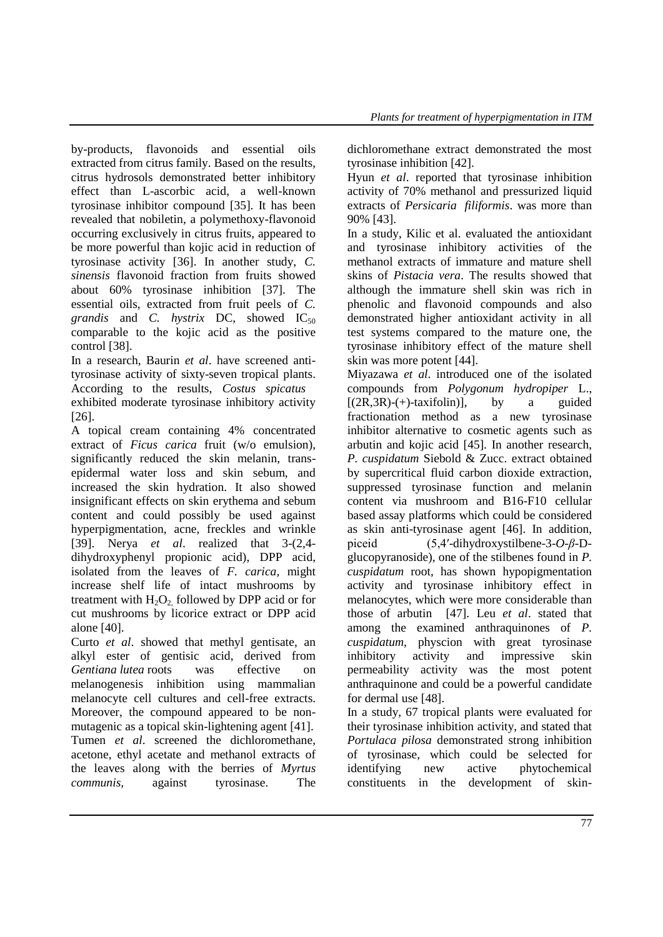by-products, flavonoids and essential oils extracted from citrus family. Based on the results, citrus hydrosols demonstrated better inhibitory effect than L-ascorbic acid, a well-known tyrosinase inhibitor compound [35]. It has been revealed that nobiletin, a polymethoxy-flavonoid occurring exclusively in citrus fruits, appeared to be more powerful than kojic acid in reduction of tyrosinase activity [36]. In another study, *C. sinensis* flavonoid fraction from fruits showed about 60% tyrosinase inhibition [37]. The essential oils, extracted from fruit peels of *C. grandis* and *C. hystrix* DC, showed IC<sub>50</sub> comparable to the kojic acid as the positive control [38].

In a research, Baurin *et al*. have screened antityrosinase activity of sixty-seven tropical plants. According to the results, *Costus spicatus* exhibited moderate tyrosinase inhibitory activity [26].

A topical cream containing 4% concentrated extract of *Ficus carica* fruit (w/o emulsion), significantly reduced the skin melanin, transepidermal water loss and skin sebum, and increased the skin hydration. It also showed insignificant effects on skin erythema and sebum content and could possibly be used against hyperpigmentation, acne, freckles and wrinkle [39]. Nerya *et al*. realized that 3-(2,4 dihydroxyphenyl propionic acid), DPP acid, isolated from the leaves of *F. carica,* might increase shelf life of intact mushrooms by treatment with  $H_2O_2$  followed by DPP acid or for cut mushrooms by licorice extract or DPP acid alone [40].

Curto *et al*. showed that methyl gentisate, an alkyl ester of gentisic acid, derived from *Gentiana lutea* roots was effective on melanogenesis inhibition using mammalian melanocyte cell cultures and cell-free extracts. Moreover, the compound appeared to be nonmutagenic as a topical skin-lightening agent [41]. Tumen *et al*. screened the dichloromethane, acetone, ethyl acetate and methanol extracts of the leaves along with the berries of *Myrtus communis,* against tyrosinase. The dichloromethane extract demonstrated the most tyrosinase inhibition [42].

Hyun *et al*. reported that tyrosinase inhibition activity of 70% methanol and pressurized liquid extracts of *Persicaria filiformis*. was more than 90% [43].

In a study, Kilic et al. evaluated the antioxidant and tyrosinase inhibitory activities of the methanol extracts of immature and mature shell skins of *Pistacia vera*. The results showed that although the immature shell skin was rich in phenolic and flavonoid compounds and also demonstrated higher antioxidant activity in all test systems compared to the mature one, the tyrosinase inhibitory effect of the mature shell skin was more potent [44].

Miyazawa *et al*. introduced one of the isolated compounds from *Polygonum hydropiper* L.,  $[(2R,3R)-(+)$ -taxifolin)], by a guided fractionation method as a new tyrosinase inhibitor alternative to cosmetic agents such as arbutin and kojic acid [45]. In another research, *P. cuspidatum* Siebold & Zucc. extract obtained by supercritical fluid carbon dioxide extraction, suppressed tyrosinase function and melanin content via mushroom and B16-F10 cellular based assay platforms which could be considered as skin anti-tyrosinase agent [46]. In addition, piceid (5,4′-dihydroxystilbene-3-*O*-*β*-Dglucopyranoside), one of the stilbenes found in *P. cuspidatum* root, has shown hypopigmentation activity and tyrosinase inhibitory effect in melanocytes, which were more considerable than those of arbutin [47]. Leu *et al*. stated that among the examined anthraquinones of *P. cuspidatum*, physcion with great tyrosinase inhibitory activity and impressive skin permeability activity was the most potent anthraquinone and could be a powerful candidate for dermal use [48].

In a study, 67 tropical plants were evaluated for their tyrosinase inhibition activity, and stated that *Portulaca pilosa* demonstrated strong inhibition of tyrosinase, which could be selected for identifying new active phytochemical constituents in the development of skin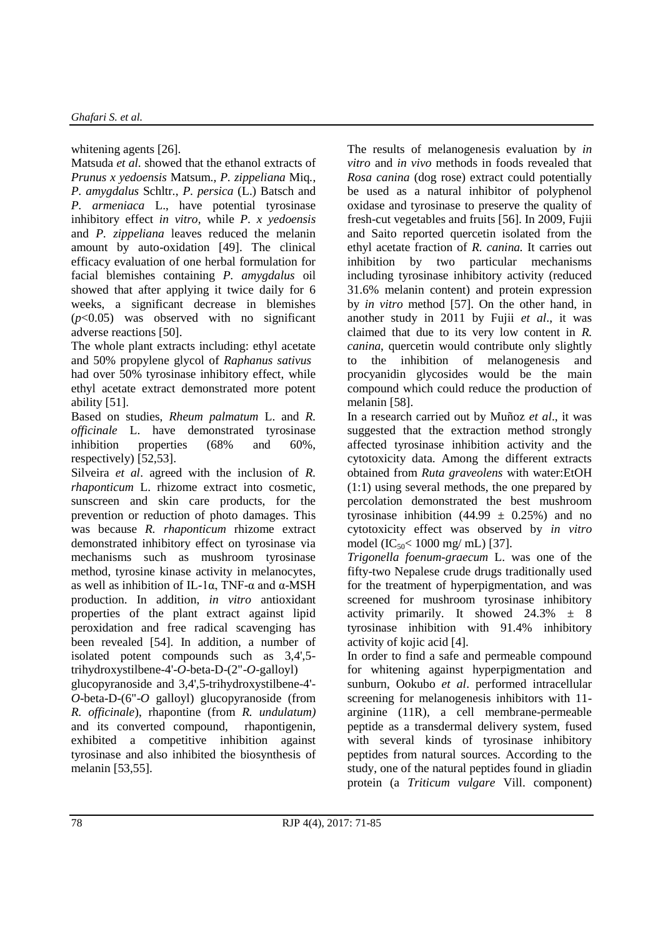whitening agents [26].

Matsuda *et al.* showed that the ethanol extracts of *Prunus x yedoensis* Matsum.*, P. zippeliana* Miq*.*, *P. amygdalus* Schltr*.*, *P. persica* (L.) Batsch and *P. armeniaca* L., have potential tyrosinase inhibitory effect *in vitro,* while *P. x yedoensis*  and *P. zippeliana* leaves reduced the melanin amount by auto-oxidation [49]. The clinical efficacy evaluation of one herbal formulation for facial blemishes containing *P. amygdalus* oil showed that after applying it twice daily for 6 weeks, a significant decrease in blemishes (*p*<0.05) was observed with no significant adverse reactions [50].

The whole plant extracts including: ethyl acetate and 50% propylene glycol of *Raphanus sativus* had over 50% tyrosinase inhibitory effect, while ethyl acetate extract demonstrated more potent ability [51].

Based on studies, *Rheum palmatum* L. and *R. officinale* L. have demonstrated tyrosinase inhibition properties (68% and 60%, respectively) [52,53].

Silveira *et al*. agreed with the inclusion of *R. rhaponticum* L. rhizome extract into cosmetic, sunscreen and skin care products, for the prevention or reduction of photo damages. This was because *R. rhaponticum* rhizome extract demonstrated inhibitory effect on tyrosinase via mechanisms such as mushroom tyrosinase method, tyrosine kinase activity in melanocytes, as well as inhibition of IL-1α, TNF-α and α-MSH production. In addition, *in vitro* antioxidant properties of the plant extract against lipid peroxidation and free radical scavenging has been revealed [54]. In addition, a number of isolated potent compounds such as 3,4',5 trihydroxystilbene-4'-*O*-beta-D-(2"-*O*-galloyl)

glucopyranoside and 3,4',5-trihydroxystilbene-4'- *O*-beta-D-(6"-*O* galloyl) glucopyranoside (from *R. officinale*), rhapontine (from *R. undulatum)* and its converted compound, rhapontigenin, exhibited a competitive inhibition against tyrosinase and also inhibited the biosynthesis of melanin [53,55].

The results of melanogenesis evaluation by *in vitro* and *in vivo* methods in foods revealed that *Rosa canina* (dog rose) extract could potentially be used as a natural inhibitor of polyphenol oxidase and tyrosinase to preserve the quality of fresh-cut vegetables and fruits [56]. In 2009, Fujii and Saito reported quercetin isolated from the ethyl acetate fraction of *R. canina.* It carries out inhibition by two particular mechanisms including tyrosinase inhibitory activity (reduced 31.6% melanin content) and protein expression by *in vitro* method [57]. On the other hand, in another study in 2011 by Fujii *et al*., it was claimed that due to its very low content in *R. canina*, quercetin would contribute only slightly to the inhibition of melanogenesis and procyanidin glycosides would be the main compound which could reduce the production of melanin [58].

In a research carried out by Muñoz *et al*., it was suggested that the extraction method strongly affected tyrosinase inhibition activity and the cytotoxicity data. Among the different extracts obtained from *Ruta graveolens* with water:EtOH (1:1) using several methods, the one prepared by percolation demonstrated the best mushroom tyrosinase inhibition (44.99  $\pm$  0.25%) and no cytotoxicity effect was observed by *in vitro* model  $(IC_{50} < 1000$  mg/ mL) [37].

*Trigonella foenum-graecum* L. was one of the fifty-two Nepalese crude drugs traditionally used for the treatment of hyperpigmentation, and was screened for mushroom tyrosinase inhibitory activity primarily. It showed  $24.3\% \pm 8$ tyrosinase inhibition with 91.4% inhibitory activity of kojic acid [4].

In order to find a safe and permeable compound for whitening against hyperpigmentation and sunburn, Ookubo *et al*. performed intracellular screening for melanogenesis inhibitors with 11 arginine (11R), a cell membrane-permeable peptide as a transdermal delivery system, fused with several kinds of tyrosinase inhibitory peptides from natural sources. According to the study, one of the natural peptides found in gliadin protein (a *Triticum vulgare* Vill. component)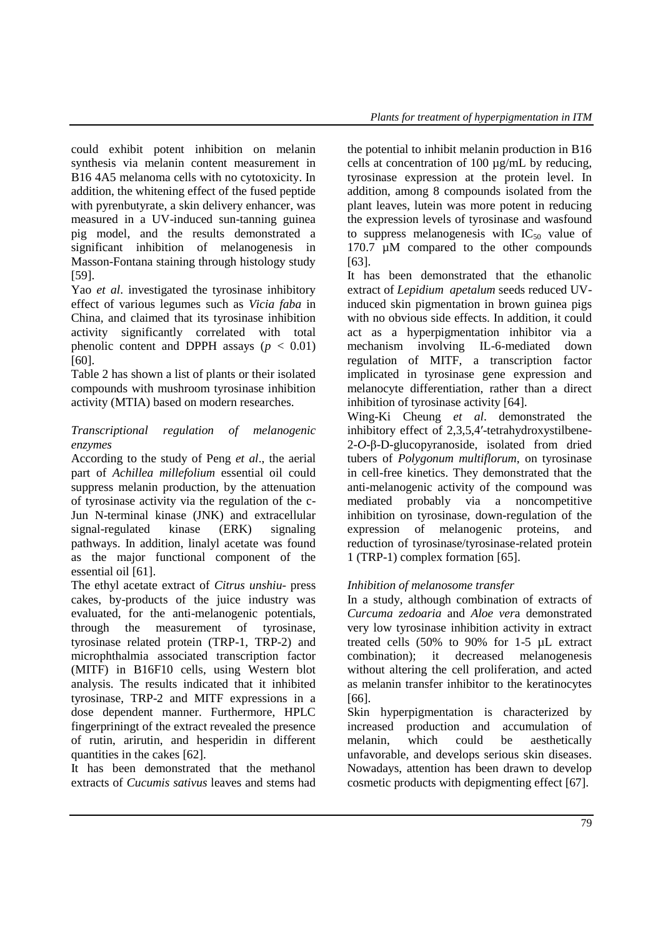could exhibit potent inhibition on melanin synthesis via melanin content measurement in B16 4A5 melanoma cells with no cytotoxicity. In addition, the whitening effect of the fused peptide with pyrenbutyrate, a skin delivery enhancer, was measured in a UV-induced sun-tanning guinea pig model, and the results demonstrated a significant inhibition of melanogenesis in Masson-Fontana staining through histology study [59].

Yao *et al*. investigated the tyrosinase inhibitory effect of various legumes such as *Vicia faba* in China*,* and claimed that its tyrosinase inhibition activity significantly correlated with total phenolic content and DPPH assays  $(p < 0.01)$ [60].

Table 2 has shown a list of plants or their isolated compounds with mushroom tyrosinase inhibition activity (MTIA) based on modern researches.

## *Transcriptional regulation of melanogenic enzymes*

According to the study of Peng *et al*., the aerial part of *Achillea millefolium* essential oil could suppress melanin production, by the attenuation of tyrosinase activity via the regulation of the c-Jun N-terminal kinase (JNK) and extracellular signal-regulated kinase (ERK) signaling pathways. In addition, linalyl acetate was found as the major functional component of the essential oil [61].

The ethyl acetate extract of *Citrus unshiu*- press cakes, by-products of the juice industry was evaluated, for the anti-melanogenic potentials, through the measurement of tyrosinase, tyrosinase related protein (TRP-1, TRP-2) and microphthalmia associated transcription factor (MITF) in B16F10 cells, using Western blot analysis. The results indicated that it inhibited tyrosinase, TRP-2 and MITF expressions in a dose dependent manner. Furthermore, HPLC fingerpriningt of the extract revealed the presence of rutin, arirutin, and hesperidin in different quantities in the cakes [62].

It has been demonstrated that the methanol extracts of *Cucumis sativus* leaves and stems had the potential to inhibit melanin production in B16 cells at concentration of 100 µg/mL by reducing, tyrosinase expression at the protein level. In addition, among 8 compounds isolated from the plant leaves, lutein was more potent in reducing the expression levels of tyrosinase and wasfound to suppress melanogenesis with  $IC_{50}$  value of 170.7 µM compared to the other compounds [63].

It has been demonstrated that the ethanolic extract of *Lepidium apetalum* seeds reduced UVinduced skin pigmentation in brown guinea pigs with no obvious side effects. In addition, it could act as a hyperpigmentation inhibitor via a mechanism involving IL-6-mediated down regulation of MITF, a transcription factor implicated in tyrosinase gene expression and melanocyte differentiation, rather than a direct inhibition of tyrosinase activity [64].

Wing-Ki Cheung *et al*. demonstrated the inhibitory effect of 2,3,5,4′-tetrahydroxystilbene-2-*O*-β-D-glucopyranoside, isolated from dried tubers of *Polygonum multiflorum*, on tyrosinase in cell-free kinetics. They demonstrated that the anti-melanogenic activity of the compound was mediated probably via a noncompetitive inhibition on tyrosinase, down-regulation of the expression of melanogenic proteins, and reduction of tyrosinase/tyrosinase-related protein 1 (TRP-1) complex formation [65].

# *Inhibition of melanosome transfer*

In a study, although combination of extracts of *Curcuma zedoaria* and *Aloe ver*a demonstrated very low tyrosinase inhibition activity in extract treated cells (50% to 90% for 1-5 µL extract combination); it decreased melanogenesis without altering the cell proliferation, and acted as melanin transfer inhibitor to the keratinocytes [66].

Skin hyperpigmentation is characterized by increased production and accumulation of melanin, which could be aesthetically unfavorable, and develops serious skin diseases. Nowadays, attention has been drawn to develop cosmetic products with depigmenting effect [67].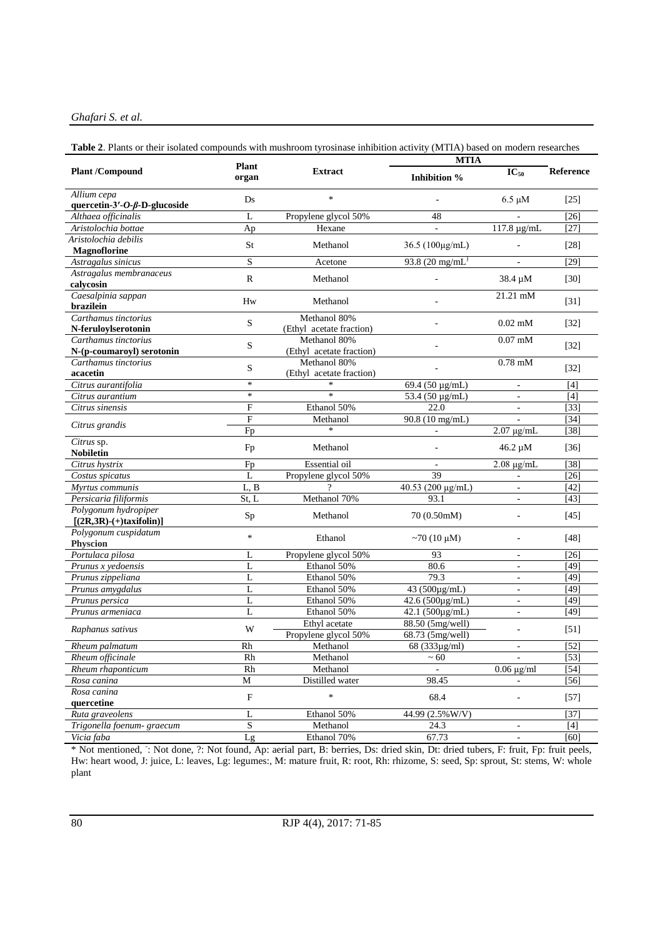#### *Ghafari S. et al.*

#### **Table 2**. Plants or their isolated compounds with mushroom tyrosinase inhibition activity (MTIA) based on modern researches

|                                                     | <b>Plant</b> |                                          | <b>MTIA</b>                          |                          |                  |
|-----------------------------------------------------|--------------|------------------------------------------|--------------------------------------|--------------------------|------------------|
| <b>Plant /Compound</b>                              | organ        | <b>Extract</b>                           | Inhibition %                         | $IC_{50}$                | <b>Reference</b> |
| Allium cepa<br>quercetin-3'-O- $\beta$ -D-glucoside | Ds           | $\ast$                                   |                                      | $6.5 \mu M$              | $[25]$           |
| Althaea officinalis                                 | L            | Propylene glycol 50%                     | 48                                   |                          | $[26]$           |
| Aristolochia bottae                                 | Ap           | Hexane                                   |                                      | 117.8 μg/mL              | [27]             |
| Aristolochia debilis                                |              |                                          |                                      |                          |                  |
| Magnoflorine                                        | St           | Methanol                                 | 36.5 (100μg/mL)                      |                          | $[28]$           |
| Astragalus sinicus                                  | S            | Acetone                                  | 93.8 $(20 \text{ mg/mL})$            |                          | $[29]$           |
| Astragalus membranaceus                             | R            | Methanol                                 |                                      | 38.4 µM                  | $[30]$           |
| calycosin                                           |              |                                          |                                      |                          |                  |
| Caesalpinia sappan<br>brazilein                     | Hw           | Methanol                                 |                                      | 21.21 mM                 | $[31]$           |
| Carthamus tinctorius                                | S            | Methanol 80%                             |                                      | $0.02$ mM                | $[32]$           |
| N-feruloylserotonin                                 |              | (Ethyl acetate fraction)<br>Methanol 80% |                                      | $0.07$ mM                |                  |
| Carthamus tinctorius<br>N-(p-coumaroyl) serotonin   | S            | (Ethyl acetate fraction)                 |                                      |                          | $[32]$           |
| Carthamus tinctorius                                |              | Methanol 80%                             |                                      | $0.78$ mM                |                  |
| acacetin                                            | S            | (Ethyl acetate fraction)                 |                                      |                          | $[32]$           |
| Citrus aurantifolia                                 | $\ast$       | $\ast$                                   | $\sqrt{69.4}$ (50 µg/mL)             | $\overline{\phantom{a}}$ | $[4]$            |
| Citrus aurantium                                    | $\ast$       | $\ast$                                   | 53.4 (50 $\mu$ g/mL)                 | $\overline{\phantom{a}}$ | [4]              |
| Citrus sinensis                                     | F            | Ethanol 50%                              | 22.0                                 | $\overline{a}$           | $[33]$           |
|                                                     | F            | Methanol                                 | $90.8(10 \text{ mg/mL})$             |                          | [34]             |
| Citrus grandis                                      | Fp           | $\ast$                                   | $\overline{a}$                       | $2.07 \mu g/mL$          | $[38]$           |
| Citrus sp.<br><b>Nobiletin</b>                      | Fp           | Methanol                                 |                                      | 46.2 µM                  | $[36]$           |
| Citrus hystrix                                      | Fp           | Essential oil                            |                                      | $2.08 \mu g/mL$          | [38]             |
| Costus spicatus                                     | $\mathbf{L}$ | Propylene glycol 50%                     | 39                                   |                          | $[26]$           |
| Myrtus communis                                     | L, B         |                                          | 40.53 (200 μg/mL)                    | $\bar{a}$                | [42]             |
| Persicaria filiformis                               | St. L        | Methanol 70%                             | 93.1                                 | ÷,                       | [43]             |
| Polygonum hydropiper                                |              | Methanol                                 | 70 (0.50mM)                          |                          | [45]             |
| $[(2R,3R)-(+)$ taxifolin)]                          | Sp           |                                          |                                      |                          |                  |
| Polygonum cuspidatum                                | $\ast$       | Ethanol                                  | $~10~\mu M$ )                        |                          | $[48]$           |
| <b>Physcion</b>                                     |              |                                          |                                      |                          |                  |
| Portulaca pilosa                                    | L            | Propylene glycol 50%                     | 93                                   | ä,                       | $[26]$           |
| Prunus x yedoensis                                  | L            | Ethanol 50%                              | 80.6                                 | $\blacksquare$           | [49]             |
| Prunus zippeliana                                   | L            | Ethanol 50%                              | 79.3                                 | $\blacksquare$           | $[49]$           |
| Prunus amygdalus                                    | $\mathbf{L}$ | Ethanol 50%                              | 43 (500μg/mL)                        | ä,                       | $[49]$           |
| Prunus persica                                      | L            | Ethanol 50%                              | 42.6 (500µg/mL)                      | $\overline{\phantom{a}}$ | [49]             |
| Prunus armeniaca                                    | L            | Ethanol 50%                              | 42.1 (500µg/mL)                      | $\overline{\phantom{a}}$ | $[49]$           |
| Raphanus sativus                                    | W            | Ethyl acetate<br>Propylene glycol 50%    | 88.50 (5mg/well)<br>68.73 (5mg/well) |                          | $[51]$           |
| Rheum palmatum                                      | Rh           | Methanol                                 | 68 (333µg/ml)                        | $\overline{\phantom{a}}$ | [52]             |
| Rheum officinale                                    | <b>Rh</b>    | Methanol                                 | $~1$ 60                              |                          | [53]             |
| Rheum rhaponticum                                   | Rh           | Methanol                                 |                                      | $0.06 \mu g/ml$          | [54]             |
| Rosa canina                                         | M            | Distilled water                          | 98.45                                | $\blacksquare$           | $[56]$           |
| Rosa canina                                         | $\mathbf F$  | $\ast$                                   | 68.4                                 | ÷,                       | $[57]$           |
| quercetine                                          |              |                                          |                                      |                          |                  |
| Ruta graveolens                                     | L            | Ethanol 50%                              | 44.99 (2.5% W/V)                     |                          | $[37]$           |
| Trigonella foenum- graecum                          | S            | Methanol                                 | 24.3                                 | ۳                        | $[4]$            |
| Vicia faba                                          | Lg           | Ethanol 70%                              | 67.73                                | $\blacksquare$           | [60]             |

\* Not mentioned, : Not done, ?: Not found, Ap: aerial part, B: berries, Ds: dried skin, Dt: dried tubers, F: fruit, Fp: fruit peels, Hw: heart wood, J: juice, L: leaves, Lg: legumes:, M: mature fruit, R: root, Rh: rhizome, S: seed, Sp: sprout, St: stems, W: whole plant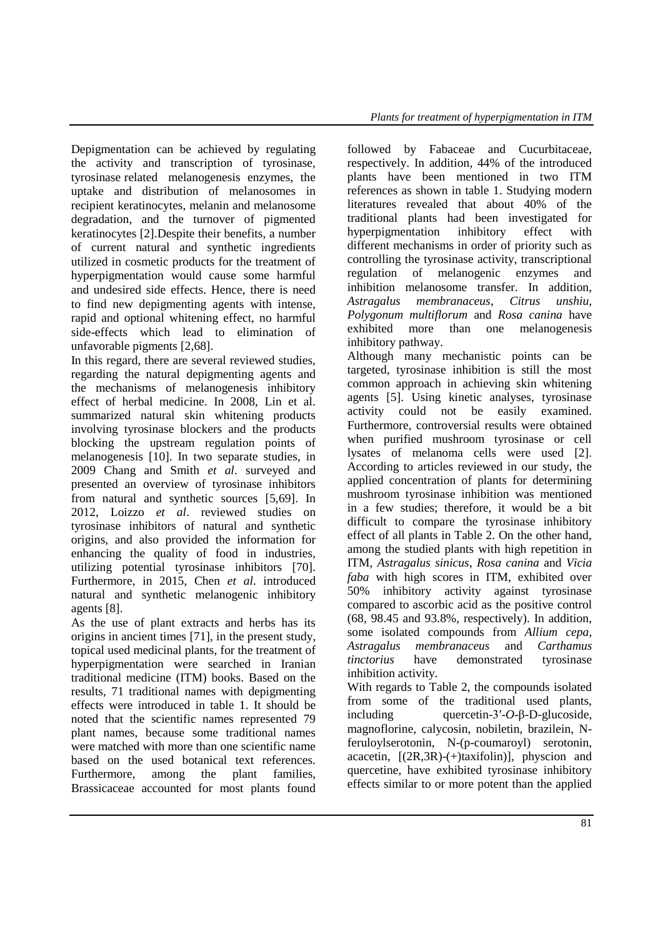Depigmentation can be achieved by regulating the activity and transcription of tyrosinase, tyrosinase related melanogenesis enzymes, the uptake and distribution of melanosomes in recipient keratinocytes, melanin and melanosome degradation, and the turnover of pigmented keratinocytes [2].Despite their benefits, a number of current natural and synthetic ingredients utilized in cosmetic products for the treatment of hyperpigmentation would cause some harmful and undesired side effects. Hence, there is need to find new depigmenting agents with intense, rapid and optional whitening effect, no harmful side-effects which lead to elimination of unfavorable pigments [2,68].

In this regard, there are several reviewed studies, regarding the natural depigmenting agents and the mechanisms of melanogenesis inhibitory effect of herbal medicine. In 2008, Lin et al. summarized natural skin whitening products involving tyrosinase blockers and the products blocking the upstream regulation points of melanogenesis [10]. In two separate studies, in 2009 Chang and Smith *et al*. surveyed and presented an overview of tyrosinase inhibitors from natural and synthetic sources [5,69]. In 2012, Loizzo *et al*. reviewed studies on tyrosinase inhibitors of natural and synthetic origins, and also provided the information for enhancing the quality of food in industries, utilizing potential tyrosinase inhibitors [70]. Furthermore, in 2015, Chen *et al*. introduced natural and synthetic melanogenic inhibitory agents [8].

As the use of plant extracts and herbs has its origins in ancient times [71], in the present study, topical used medicinal plants, for the treatment of hyperpigmentation were searched in Iranian traditional medicine (ITM) books. Based on the results, 71 traditional names with depigmenting effects were introduced in table 1. It should be noted that the scientific names represented 79 plant names, because some traditional names were matched with more than one scientific name based on the used botanical text references. Furthermore, among the plant families, Brassicaceae accounted for most plants found followed by Fabaceae and Cucurbitaceae, respectively. In addition, 44% of the introduced plants have been mentioned in two ITM references as shown in table 1. Studying modern literatures revealed that about 40% of the traditional plants had been investigated for hyperpigmentation inhibitory effect with different mechanisms in order of priority such as controlling the tyrosinase activity, transcriptional regulation of melanogenic enzymes and inhibition melanosome transfer. In addition, *Astragalus membranaceus*, *Citrus unshiu, Polygonum multiflorum* and *Rosa canina* have exhibited more than one melanogenesis inhibitory pathway.

Although many mechanistic points can be targeted, tyrosinase inhibition is still the most common approach in achieving skin whitening agents [5]. Using kinetic analyses, tyrosinase activity could not be easily examined. Furthermore, controversial results were obtained when purified mushroom tyrosinase or cell lysates of melanoma cells were used [2]. According to articles reviewed in our study, the applied concentration of plants for determining mushroom tyrosinase inhibition was mentioned in a few studies; therefore, it would be a bit difficult to compare the tyrosinase inhibitory effect of all plants in Table 2. On the other hand, among the studied plants with high repetition in ITM, *Astragalus sinicus*, *Rosa canina* and *Vicia faba* with high scores in ITM, exhibited over 50% inhibitory activity against tyrosinase compared to ascorbic acid as the positive control (68, 98.45 and 93.8%, respectively). In addition, some isolated compounds from *Allium cepa*, *Astragalus membranaceus* and *Carthamus tinctorius* have demonstrated tyrosinase inhibition activity.

With regards to Table 2, the compounds isolated from some of the traditional used plants, including quercetin-3′-*O*-β-D-glucoside, magnoflorine, calycosin, nobiletin, brazilein, Nferuloylserotonin, N-(p-coumaroyl) serotonin, acacetin,  $[(2R,3R)-(+)$ taxifolin)], physcion and quercetine, have exhibited tyrosinase inhibitory effects similar to or more potent than the applied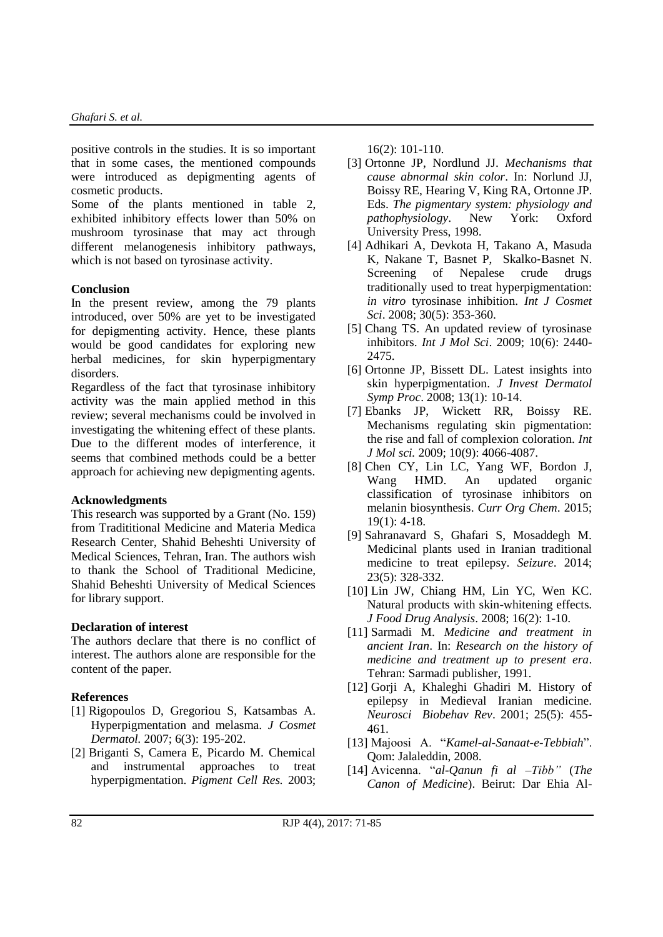positive controls in the studies. It is so important that in some cases, the mentioned compounds were introduced as depigmenting agents of cosmetic products.

Some of the plants mentioned in table 2, exhibited inhibitory effects lower than 50% on mushroom tyrosinase that may act through different melanogenesis inhibitory pathways, which is not based on tyrosinase activity.

#### **Conclusion**

In the present review, among the 79 plants introduced, over 50% are yet to be investigated for depigmenting activity. Hence, these plants would be good candidates for exploring new herbal medicines, for skin hyperpigmentary disorders.

Regardless of the fact that tyrosinase inhibitory activity was the main applied method in this review; several mechanisms could be involved in investigating the whitening effect of these plants. Due to the different modes of interference, it seems that combined methods could be a better approach for achieving new depigmenting agents.

#### **Acknowledgments**

This research was supported by a Grant (No. 159) from Tradititional Medicine and Materia Medica Research Center, Shahid Beheshti University of Medical Sciences, Tehran, Iran. The authors wish to thank the School of Traditional Medicine, Shahid Beheshti University of Medical Sciences for library support.

#### **Declaration of interest**

The authors declare that there is no conflict of interest. The authors alone are responsible for the content of the paper.

### **References**

- [1] Rigopoulos D, Gregoriou S, Katsambas A. Hyperpigmentation and melasma. *J Cosmet Dermatol.* 2007; 6(3): 195-202.
- [2] Briganti S, Camera E, Picardo M. Chemical and instrumental approaches to treat hyperpigmentation. *Pigment Cell Res.* 2003;

16(2): 101-110.

- [3] Ortonne JP, Nordlund JJ. *Mechanisms that cause abnormal skin color*. In: Norlund JJ, Boissy RE, Hearing V, King RA, Ortonne JP. Eds. *The pigmentary system: physiology and pathophysiology*. New York: Oxford University Press, 1998.
- [4] Adhikari A, Devkota H, Takano A, Masuda K, Nakane T, Basnet P, Skalko-Basnet N.<br>Screening of Nepalese crude drugs Screening of Nepalese crude drugs traditionally used to treat hyperpigmentation: *in vitro* tyrosinase inhibition. *Int J Cosmet Sci*. 2008; 30(5): 353-360.
- [5] Chang TS. An updated review of tyrosinase inhibitors. *Int J Mol Sci*. 2009; 10(6): 2440- 2475.
- [6] Ortonne JP, Bissett DL. Latest insights into skin hyperpigmentation. *J Invest Dermatol Symp Proc*. 2008; 13(1): 10-14.
- [7] Ebanks JP, Wickett RR, Boissy RE. Mechanisms regulating skin pigmentation: the rise and fall of complexion coloration. *Int J Mol sci.* 2009; 10(9): 4066-4087.
- [8] Chen CY, Lin LC, Yang WF, Bordon J, Wang HMD. An updated organic classification of tyrosinase inhibitors on melanin biosynthesis. *Curr Org Chem*. 2015; 19(1): 4-18.
- [9] Sahranavard S, Ghafari S, Mosaddegh M. Medicinal plants used in Iranian traditional medicine to treat epilepsy. *Seizure*. 2014; 23(5): 328-332.
- [10] Lin JW, Chiang HM, Lin YC, Wen KC. Natural products with skin-whitening effects. *J Food Drug Analysis*. 2008; 16(2): 1-10.
- [11] Sarmadi M. *Medicine and treatment in ancient Iran*. In: *Research on the history of medicine and treatment up to present era*. Tehran: Sarmadi publisher, 1991.
- [12] Gorji A, Khaleghi Ghadiri M. History of epilepsy in Medieval Iranian medicine. *Neurosci Biobehav Rev*. 2001; 25(5): 455- 461.
- [13] Majoosi A. "*Kamel-al-Sanaat-e-Tebbiah*". Qom: Jalaleddin, 2008.
- [14] Avicenna. "*al-Qanun fi al –Tibb"* (*The Canon of Medicine*). Beirut: Dar Ehia Al-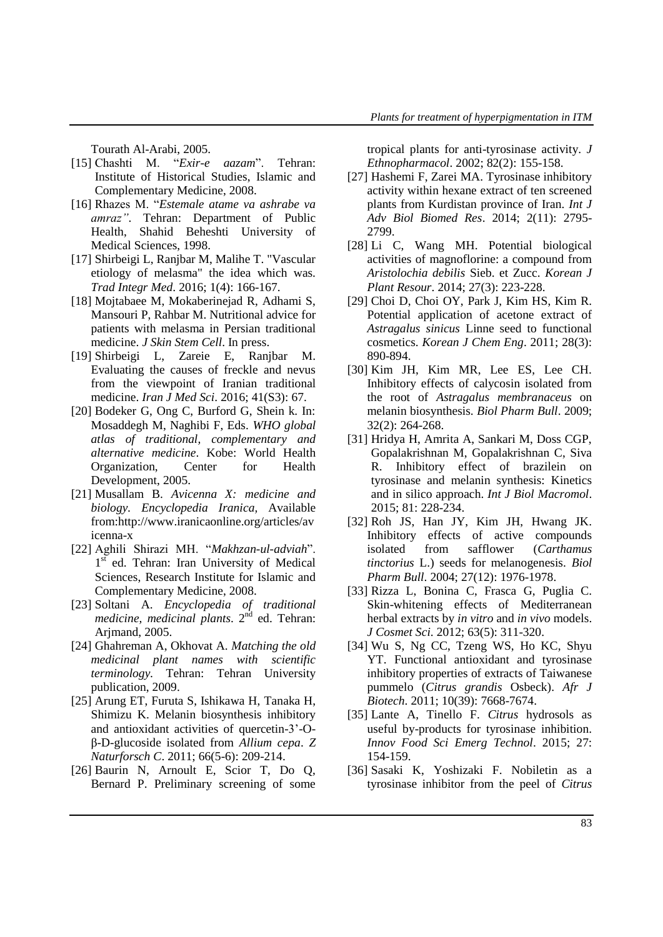Tourath Al-Arabi, 2005.

- [15] Chashti M. "*Exir-e aazam*". Tehran: Institute of Historical Studies, Islamic and Complementary Medicine, 2008.
- [16] Rhazes M. "*Estemale atame va ashrabe va amraz"*. Tehran: Department of Public Health, Shahid Beheshti University of Medical Sciences, 1998.
- [17] Shirbeigi L, Ranjbar M, Malihe T. "Vascular etiology of melasma" the idea which was. *Trad Integr Med*. 2016; 1(4): 166-167.
- [18] Mojtabaee M, Mokaberinejad R, Adhami S, Mansouri P, Rahbar M. Nutritional advice for patients with melasma in Persian traditional medicine. *J Skin Stem Cell*. In press.
- [19] Shirbeigi L, Zareie E, Ranjbar M. Evaluating the causes of freckle and nevus from the viewpoint of Iranian traditional medicine. *Iran J Med Sci*. 2016; 41(S3): 67.
- [20] Bodeker G, Ong C, Burford G, Shein k. In: Mosaddegh M, Naghibi F, Eds. *WHO global atlas of traditional, complementary and alternative medicine*. Kobe: World Health Organization, Center for Health Development, 2005.
- [21] Musallam B. *Avicenna X: medicine and biology. Encyclopedia Iranica,* Available from:http://www.iranicaonline.org/articles/av icenna-x
- [22] Aghili Shirazi MH. "*Makhzan-ul-adviah*". 1st ed. Tehran: Iran University of Medical Sciences, Research Institute for Islamic and Complementary Medicine, 2008.
- [23] Soltani A. *Encyclopedia of traditional medicine, medicinal plants*. 2nd ed. Tehran: Arjmand, 2005.
- [24] Ghahreman A, Okhovat A. *Matching the old medicinal plant names with scientific terminology.* Tehran: Tehran University publication, 2009.
- [25] Arung ET, Furuta S, Ishikawa H, Tanaka H, Shimizu K. Melanin biosynthesis inhibitory and antioxidant activities of quercetin-3'-Oβ-D-glucoside isolated from *Allium cepa*. *Z Naturforsch C*. 2011; 66(5-6): 209-214.
- [26] Baurin N, Arnoult E, Scior T, Do Q, Bernard P. Preliminary screening of some

tropical plants for anti-tyrosinase activity. *J Ethnopharmacol*. 2002; 82(2): 155-158.

- [27] Hashemi F, Zarei MA. Tyrosinase inhibitory activity within hexane extract of ten screened plants from Kurdistan province of Iran. *Int J Adv Biol Biomed Res*. 2014; 2(11): 2795- 2799.
- [28] Li C, Wang MH. Potential biological activities of magnoflorine: a compound from *Aristolochia debilis* Sieb. et Zucc. *Korean J Plant Resour*. 2014; 27(3): 223-228.
- [29] Choi D, Choi OY, Park J, Kim HS, Kim R. Potential application of acetone extract of *Astragalus sinicus* Linne seed to functional cosmetics. *Korean J Chem Eng*. 2011; 28(3): 890-894.
- [30] Kim JH, Kim MR, Lee ES, Lee CH. Inhibitory effects of calycosin isolated from the root of *Astragalus membranaceus* on melanin biosynthesis. *Biol Pharm Bull*. 2009; 32(2): 264-268.
- [31] Hridya H, Amrita A, Sankari M, Doss CGP, Gopalakrishnan M, Gopalakrishnan C, Siva R. Inhibitory effect of brazilein on tyrosinase and melanin synthesis: Kinetics and in silico approach. *Int J Biol Macromol*. 2015; 81: 228-234.
- [32] Roh JS, Han JY, Kim JH, Hwang JK. Inhibitory effects of active compounds isolated from safflower (*Carthamus tinctorius* L.) seeds for melanogenesis. *Biol Pharm Bull*. 2004; 27(12): 1976-1978.
- [33] Rizza L, Bonina C, Frasca G, Puglia C. Skin-whitening effects of Mediterranean herbal extracts by *in vitro* and *in vivo* models. *J Cosmet Sci*. 2012; 63(5): 311-320.
- [34] Wu S, Ng CC, Tzeng WS, Ho KC, Shyu YT. Functional antioxidant and tyrosinase inhibitory properties of extracts of Taiwanese pummelo (*Citrus grandis* Osbeck). *Afr J Biotech*. 2011; 10(39): 7668-7674.
- [35] Lante A, Tinello F. *Citrus* hydrosols as useful by-products for tyrosinase inhibition. *Innov Food Sci Emerg Technol*. 2015; 27: 154-159.
- [36] Sasaki K, Yoshizaki F. Nobiletin as a tyrosinase inhibitor from the peel of *Citrus*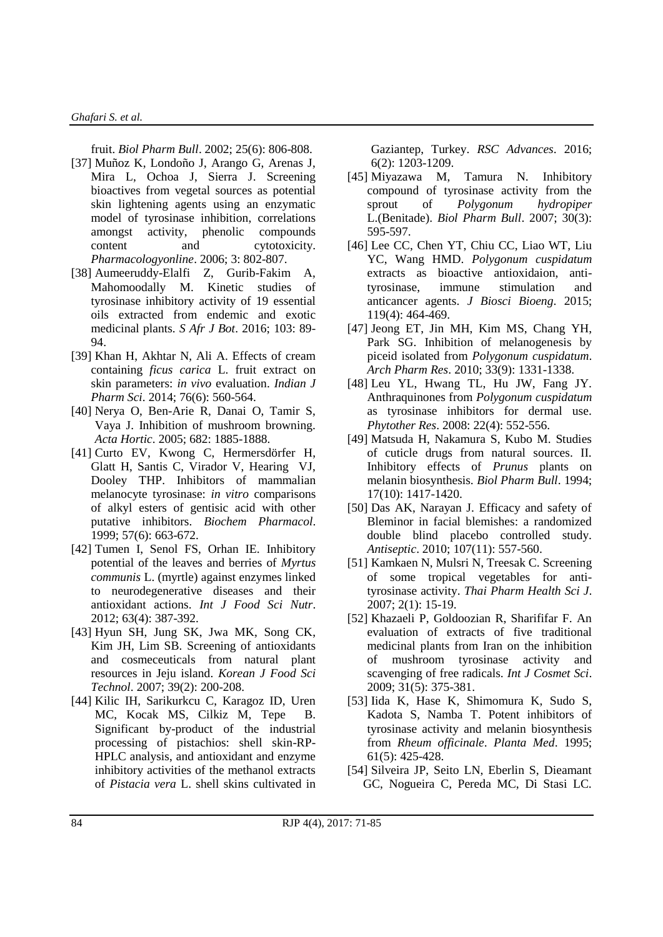fruit. *Biol Pharm Bull*. 2002; 25(6): 806-808.

- [37] Muñoz K, Londoño J, Arango G, Arenas J, Mira L, Ochoa J, Sierra J. Screening bioactives from vegetal sources as potential skin lightening agents using an enzymatic model of tyrosinase inhibition, correlations amongst activity, phenolic compounds content and cytotoxicity. *Pharmacologyonline*. 2006; 3: 802-807.
- [38] Aumeeruddy-Elalfi Z, Gurib-Fakim A, Mahomoodally M. Kinetic studies of tyrosinase inhibitory activity of 19 essential oils extracted from endemic and exotic medicinal plants. *S Afr J Bot*. 2016; 103: 89- 94.
- [39] Khan H, Akhtar N, Ali A. Effects of cream containing *ficus carica* L. fruit extract on skin parameters: *in vivo* evaluation. *Indian J Pharm Sci*. 2014; 76(6): 560-564.
- [40] Nerya O, Ben-Arie R, Danai O, Tamir S, Vaya J. Inhibition of mushroom browning. *Acta Hortic*. 2005; 682: 1885-1888.
- [41] Curto EV, Kwong C, Hermersdörfer H, Glatt H, Santis C, Virador V, Hearing VJ, Dooley THP. Inhibitors of mammalian melanocyte tyrosinase: *in vitro* comparisons of alkyl esters of gentisic acid with other putative inhibitors. *Biochem Pharmacol*. 1999; 57(6): 663-672.
- [42] Tumen I, Senol FS, Orhan IE. Inhibitory potential of the leaves and berries of *Myrtus communis* L. (myrtle) against enzymes linked to neurodegenerative diseases and their antioxidant actions. *Int J Food Sci Nutr*. 2012; 63(4): 387-392.
- [43] Hyun SH, Jung SK, Jwa MK, Song CK, Kim JH, Lim SB. Screening of antioxidants and cosmeceuticals from natural plant resources in Jeju island. *Korean J Food Sci Technol*. 2007; 39(2): 200-208.
- [44] Kilic IH, Sarikurkcu C, Karagoz ID, Uren MC, Kocak MS, Cilkiz M, Tepe B. Significant by-product of the industrial processing of pistachios: shell skin-RP-HPLC analysis, and antioxidant and enzyme inhibitory activities of the methanol extracts of *Pistacia vera* L. shell skins cultivated in

Gaziantep, Turkey. *RSC Advances*. 2016; 6(2): 1203-1209.

- [45] Miyazawa M, Tamura N. Inhibitory compound of tyrosinase activity from the sprout of *Polygonum hydropiper* L.(Benitade). *Biol Pharm Bull*. 2007; 30(3): 595-597.
- [46] Lee CC, Chen YT, Chiu CC, Liao WT, Liu YC, Wang HMD. *Polygonum cuspidatum* extracts as bioactive antioxidaion, antityrosinase, immune stimulation and anticancer agents. *J Biosci Bioeng*. 2015; 119(4): 464-469.
- [47] Jeong ET, Jin MH, Kim MS, Chang YH, Park SG. Inhibition of melanogenesis by piceid isolated from *Polygonum cuspidatum*. *Arch Pharm Res*. 2010; 33(9): 1331-1338.
- [48] Leu YL, Hwang TL, Hu JW, Fang JY. Anthraquinones from *Polygonum cuspidatum* as tyrosinase inhibitors for dermal use. *Phytother Res*. 2008: 22(4): 552-556.
- [49] Matsuda H, Nakamura S, Kubo M. Studies of cuticle drugs from natural sources. II. Inhibitory effects of *Prunus* plants on melanin biosynthesis. *Biol Pharm Bull*. 1994; 17(10): 1417-1420.
- [50] Das AK, Narayan J. Efficacy and safety of Bleminor in facial blemishes: a randomized double blind placebo controlled study. *Antiseptic*. 2010; 107(11): 557-560.
- [51] Kamkaen N, Mulsri N, Treesak C. Screening of some tropical vegetables for antityrosinase activity. *Thai Pharm Health Sci J*. 2007; 2(1): 15-19.
- [52] Khazaeli P, Goldoozian R, Sharififar F. An evaluation of extracts of five traditional medicinal plants from Iran on the inhibition of mushroom tyrosinase activity and scavenging of free radicals. *Int J Cosmet Sci*. 2009; 31(5): 375-381.
- [53] Iida K, Hase K, Shimomura K, Sudo S, Kadota S, Namba T. Potent inhibitors of tyrosinase activity and melanin biosynthesis from *Rheum officinale*. *Planta Med*. 1995; 61(5): 425-428.
- [54] Silveira JP, Seito LN, Eberlin S, Dieamant GC, Nogueira C, Pereda MC, Di Stasi LC*.*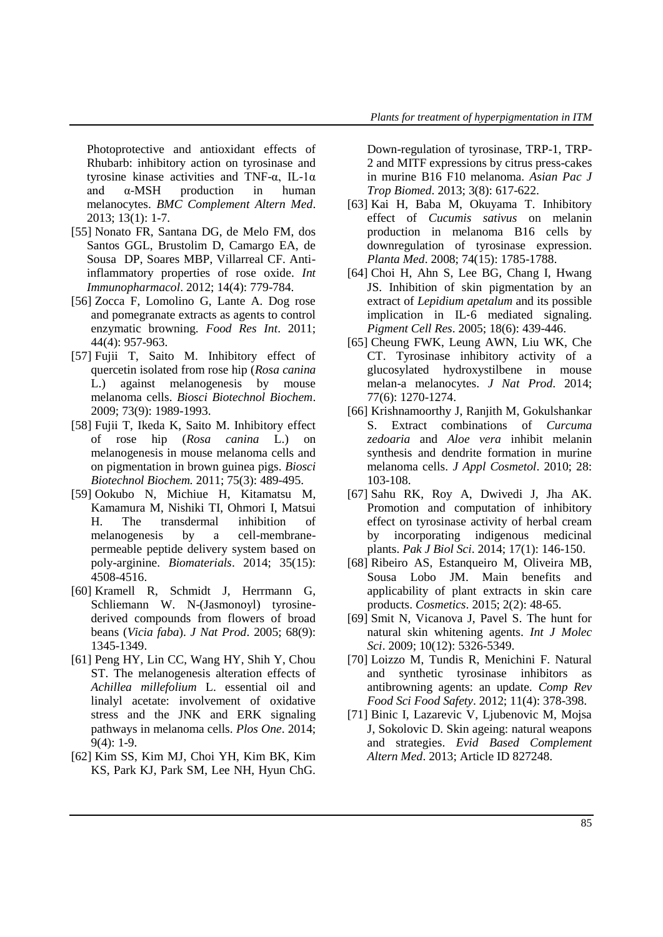Photoprotective and antioxidant effects of Rhubarb: inhibitory action on tyrosinase and tyrosine kinase activities and TNF-α, IL-1α and  $\alpha$ -MSH production in human melanocytes. *BMC Complement Altern Med*. 2013; 13(1): 1-7.

- [55] Nonato FR, Santana DG, de Melo FM, dos Santos GGL, Brustolim D, Camargo EA, de Sousa DP, Soares MBP, Villarreal CF. Antiinflammatory properties of rose oxide. *Int Immunopharmacol*. 2012; 14(4): 779-784.
- [56] Zocca F, Lomolino G, Lante A. Dog rose and pomegranate extracts as agents to control enzymatic browning. *Food Res Int*. 2011; 44(4): 957-963.
- [57] Fujii T, Saito M. Inhibitory effect of quercetin isolated from rose hip (*Rosa canina* L.) against melanogenesis by mouse melanoma cells. *Biosci Biotechnol Biochem*. 2009; 73(9): 1989-1993.
- [58] Fujii T, Ikeda K, Saito M. Inhibitory effect of rose hip (*Rosa canina* L.) on melanogenesis in mouse melanoma cells and on pigmentation in brown guinea pigs. *Biosci Biotechnol Biochem.* 2011; 75(3): 489-495.
- [59] Ookubo N, Michiue H, Kitamatsu M, Kamamura M, Nishiki TI, Ohmori I, Matsui H. The transdermal inhibition of melanogenesis by a cell-membranepermeable peptide delivery system based on poly-arginine. *Biomaterials*. 2014; 35(15): 4508-4516.
- [60] Kramell R, Schmidt J, Herrmann G, Schliemann W. N-(Jasmonoyl) tyrosinederived compounds from flowers of broad beans (*Vicia faba*). *J Nat Prod*. 2005; 68(9): 1345-1349.
- [61] Peng HY, Lin CC, Wang HY, Shih Y, Chou ST. The melanogenesis alteration effects of *Achillea millefolium* L. essential oil and linalyl acetate: involvement of oxidative stress and the JNK and ERK signaling pathways in melanoma cells. *Plos One*. 2014; 9(4): 1-9.
- [62] Kim SS, Kim MJ, Choi YH, Kim BK, Kim KS, Park KJ, Park SM, Lee NH, Hyun ChG.

Down-regulation of tyrosinase, TRP-1, TRP-2 and MITF expressions by citrus press-cakes in murine B16 F10 melanoma. *Asian Pac J Trop Biomed*. 2013; 3(8): 617-622.

- [63] Kai H, Baba M, Okuyama T. Inhibitory effect of *Cucumis sativus* on melanin production in melanoma B16 cells by downregulation of tyrosinase expression. *Planta Med*. 2008; 74(15): 1785-1788.
- [64] Choi H, Ahn S, Lee BG, Chang I, Hwang JS. Inhibition of skin pigmentation by an extract of *Lepidium apetalum* and its possible implication in IL‐6 mediated signaling. *Pigment Cell Res*. 2005; 18(6): 439-446.
- [65] Cheung FWK, Leung AWN, Liu WK, Che CT. Tyrosinase inhibitory activity of a glucosylated hydroxystilbene in mouse melan-a melanocytes. *J Nat Prod*. 2014; 77(6): 1270-1274.
- [66] Krishnamoorthy J, Ranjith M, Gokulshankar S. Extract combinations of *Curcuma zedoaria* and *Aloe vera* inhibit melanin synthesis and dendrite formation in murine melanoma cells. *J Appl Cosmetol*. 2010; 28: 103-108.
- [67] Sahu RK, Roy A, Dwivedi J, Jha AK. Promotion and computation of inhibitory effect on tyrosinase activity of herbal cream by incorporating indigenous medicinal plants. *Pak J Biol Sci*. 2014; 17(1): 146-150.
- [68] Ribeiro AS, Estanqueiro M, Oliveira MB, Sousa Lobo JM. Main benefits and applicability of plant extracts in skin care products. *Cosmetics*. 2015; 2(2): 48-65.
- [69] Smit N, Vicanova J, Pavel S. The hunt for natural skin whitening agents. *Int J Molec Sci*. 2009; 10(12): 5326-5349.
- [70] Loizzo M, Tundis R, Menichini F. Natural and synthetic tyrosinase inhibitors as antibrowning agents: an update. *Comp Rev Food Sci Food Safety*. 2012; 11(4): 378-398.
- [71] Binic I, Lazarevic V, Ljubenovic M, Mojsa J, Sokolovic D. Skin ageing: natural weapons and strategies. *Evid Based Complement Altern Med*. 2013; Article ID 827248.